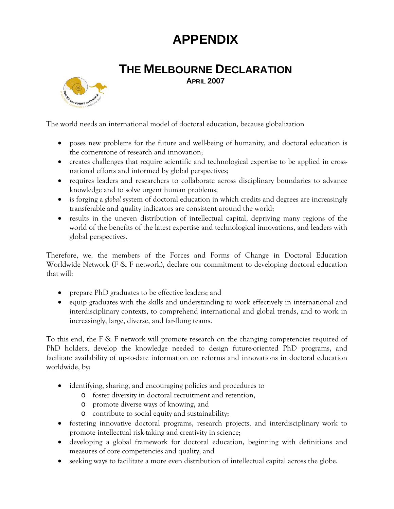## **APPENDIX**

## **THE MELBOURNE DECLARATION APRIL 2007**



The world needs an international model of doctoral education, because globalization

- poses new problems for the future and well-being of humanity, and doctoral education is the cornerstone of research and innovation;
- creates challenges that require scientific and technological expertise to be applied in crossnational efforts and informed by global perspectives;
- requires leaders and researchers to collaborate across disciplinary boundaries to advance knowledge and to solve urgent human problems;
- is forging a *global* system of doctoral education in which credits and degrees are increasingly transferable and quality indicators are consistent around the world;
- results in the uneven distribution of intellectual capital, depriving many regions of the world of the benefits of the latest expertise and technological innovations, and leaders with global perspectives.

Therefore, we, the members of the Forces and Forms of Change in Doctoral Education Worldwide Network (F & F network), declare our commitment to developing doctoral education that will:

- prepare PhD graduates to be effective leaders; and
- equip graduates with the skills and understanding to work effectively in international and interdisciplinary contexts, to comprehend international and global trends, and to work in increasingly, large, diverse, and far-flung teams.

To this end, the F & F network will promote research on the changing competencies required of PhD holders, develop the knowledge needed to design future-oriented PhD programs, and facilitate availability of up-to-date information on reforms and innovations in doctoral education worldwide, by:

- identifying, sharing, and encouraging policies and procedures to
	- o foster diversity in doctoral recruitment and retention,
	- o promote diverse ways of knowing, and
	- o contribute to social equity and sustainability;
- fostering innovative doctoral programs, research projects, and interdisciplinary work to promote intellectual risk-taking and creativity in science;
- developing a global framework for doctoral education, beginning with definitions and measures of core competencies and quality; and
- seeking ways to facilitate a more even distribution of intellectual capital across the globe.